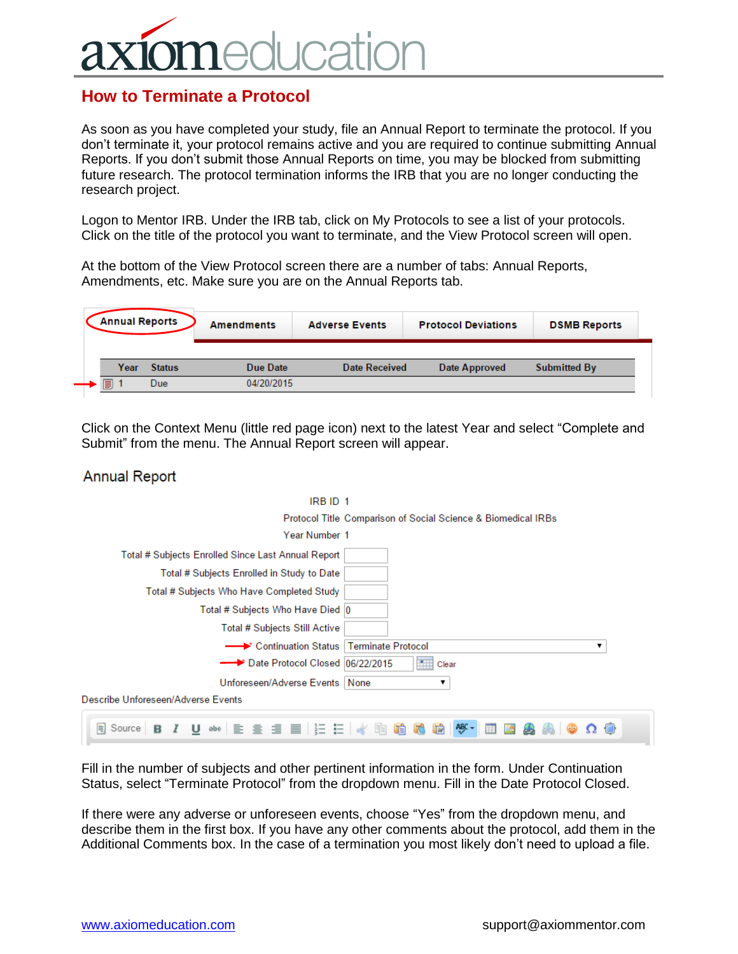## **Icatic**

## **How to Terminate a Protocol**

As soon as you have completed your study, file an Annual Report to terminate the protocol. If you don't terminate it, your protocol remains active and you are required to continue submitting Annual Reports. If you don't submit those Annual Reports on time, you may be blocked from submitting future research. The protocol termination informs the IRB that you are no longer conducting the research project.

Logon to Mentor IRB. Under the IRB tab, click on My Protocols to see a list of your protocols. Click on the title of the protocol you want to terminate, and the View Protocol screen will open.

At the bottom of the View Protocol screen there are a number of tabs: Annual Reports, Amendments, etc. Make sure you are on the Annual Reports tab.

| <b>Annual Reports</b> |               | <b>Amendments</b> | <b>Adverse Events</b> | <b>Protocol Deviations</b> | <b>DSMB Reports</b> |
|-----------------------|---------------|-------------------|-----------------------|----------------------------|---------------------|
| Year                  | <b>Status</b> | Due Date          | Date Received         | Date Approved              | <b>Submitted By</b> |
| s                     | Due           | 04/20/2015        |                       |                            |                     |

Click on the Context Menu (little red page icon) next to the latest Year and select "Complete and Submit" from the menu. The Annual Report screen will appear.

## **Annual Report**

| IRB ID 1                                                           |
|--------------------------------------------------------------------|
| Protocol Title Comparison of Social Science & Biomedical IRBs      |
| Year Number 1                                                      |
| Total # Subjects Enrolled Since Last Annual Report                 |
| Total # Subjects Enrolled in Study to Date                         |
| Total # Subjects Who Have Completed Study                          |
| Total # Subjects Who Have Died  0                                  |
| Total # Subjects Still Active                                      |
| - Continuation Status   Terminate Protocol<br>▼                    |
| Date Protocol Closed 06/22/2015<br><b>Clear</b>                    |
| Unforeseen/Adverse Events   None<br>▼                              |
| Describe Unforeseen/Adverse Events                                 |
| せ ※   ミ ミ ミ ≣   辷 辷   ぐ 眴 瞻 心 励   ♥ ・<br><b>● Source</b><br>в<br>亜 |

Fill in the number of subjects and other pertinent information in the form. Under Continuation Status, select "Terminate Protocol" from the dropdown menu. Fill in the Date Protocol Closed.

If there were any adverse or unforeseen events, choose "Yes" from the dropdown menu, and describe them in the first box. If you have any other comments about the protocol, add them in the Additional Comments box. In the case of a termination you most likely don't need to upload a file.